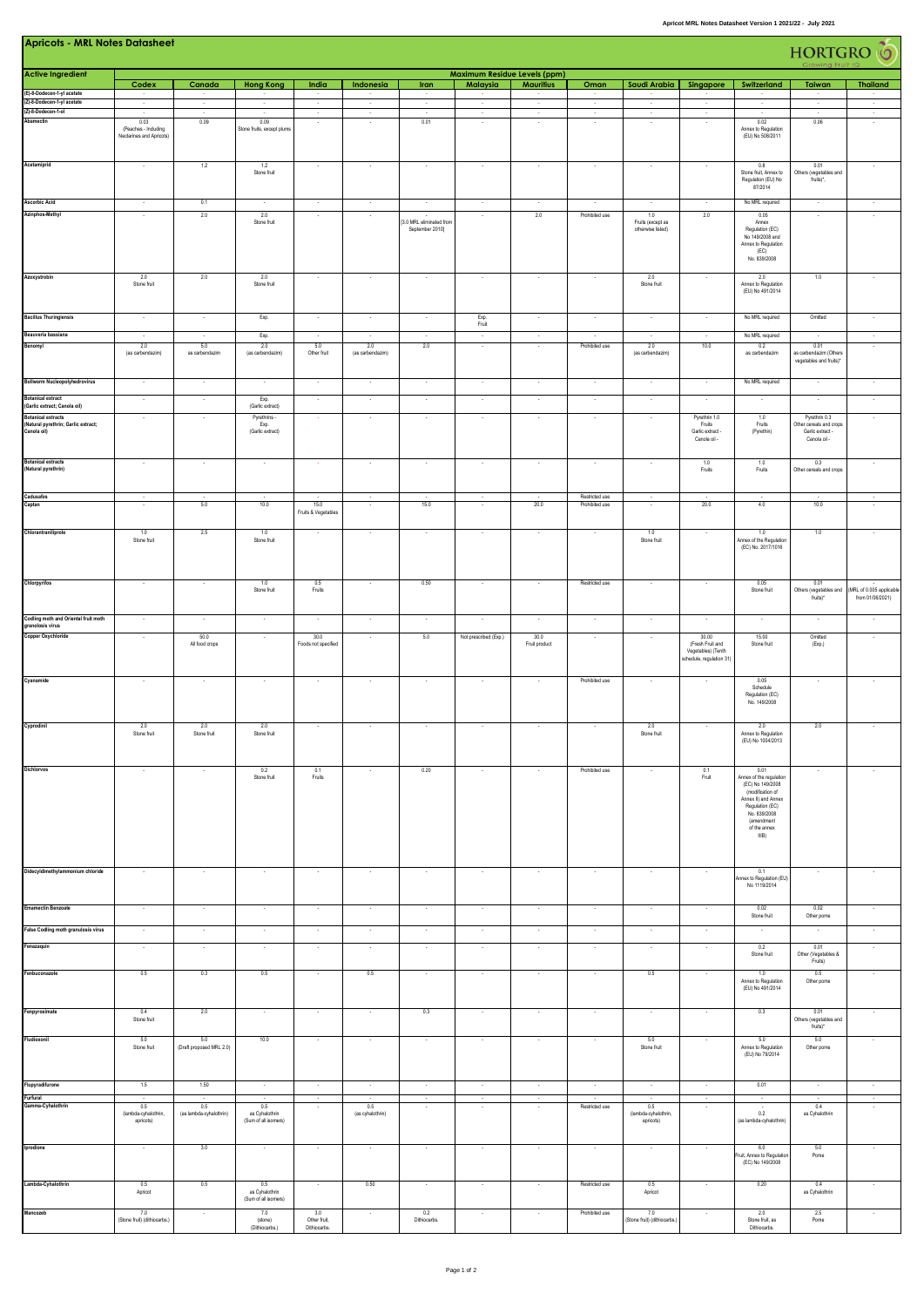| <b>Apricots - MRL Notes Datasheet</b><br><b>HORTGRO</b> (O                           |                                                                |                                                   |                                               |                                         |                                   |                                             |                                        |                                    |                                  |                                               |                                                                             |                                                                                                                                                                          |                                                                              |                                             |
|--------------------------------------------------------------------------------------|----------------------------------------------------------------|---------------------------------------------------|-----------------------------------------------|-----------------------------------------|-----------------------------------|---------------------------------------------|----------------------------------------|------------------------------------|----------------------------------|-----------------------------------------------|-----------------------------------------------------------------------------|--------------------------------------------------------------------------------------------------------------------------------------------------------------------------|------------------------------------------------------------------------------|---------------------------------------------|
| <b>Active Ingredient</b>                                                             |                                                                |                                                   |                                               |                                         |                                   |                                             | Maximum Residue Levels (ppm)           |                                    |                                  |                                               |                                                                             |                                                                                                                                                                          |                                                                              |                                             |
| (E)-8-Dodecen-1-yl acetate                                                           | Codex<br>$\sim$                                                | Canada<br>$\sim$                                  | <b>Hong Kong</b>                              | India<br>$\overline{\phantom{a}}$       | Indonesia<br>$\sim$               | Iran<br>$\sim$                              | Malaysia<br>$\sim$                     | <b>Mauritius</b><br>$\sim$         | Oman<br>$\sim$                   | Saudi Arabia<br>$\sim$                        | Singapore                                                                   | Switzerland                                                                                                                                                              | Taiwan<br>$\sim$                                                             | <b>Thailand</b><br>$\sim$                   |
| (Z)-8-Dodecen-1-yl acetate                                                           | $\sim$                                                         | $\cdot$                                           | $\sim$                                        | $\sim$                                  | $\cdot$                           | $\sim$                                      | $\sim$                                 | $\sim$                             | $\sim$                           | $\sim$                                        | $\sim$                                                                      | $\overline{\phantom{a}}$                                                                                                                                                 | $\sim$                                                                       | $\sim$                                      |
| (Z)-8-Dodecen-1-ol<br>Abamectin                                                      | ÷.<br>0.03<br>(Peaches - Including<br>Nectarines and Apricots) | $\sim$<br>0.09                                    | $\sim$<br>0.09<br>Stone fruits, except plums  | $\cdot$                                 | $\cdot$                           | ÷.<br>0.01                                  | $\epsilon$                             | Ŧ,                                 | $\sim$                           | $\sim$                                        | $\epsilon$                                                                  | $\overline{\phantom{a}}$<br>0.02<br>Annex to Regulation<br>(EU) No 508/2011                                                                                              | ×<br>0.06                                                                    | ÷.<br>÷,                                    |
| Acetamiprid                                                                          |                                                                | 1.2                                               | 1.2<br>Stone fruit                            |                                         |                                   |                                             |                                        |                                    |                                  |                                               |                                                                             | 0.8<br>Stone fruit, Annex to<br>Regulation (EU) No<br>87/2014                                                                                                            | 0.01<br>Others (vegetables and<br>fruits)*,                                  |                                             |
| <b>Ascorbic Acid</b><br>Azinphos-Methyl                                              |                                                                | 0.1<br>2.0                                        | 2.0<br>Stone fruit                            |                                         | $\overline{\phantom{a}}$          | [3.0 MRL eliminated from<br>September 20101 |                                        | 2.0                                | Prohibited use                   | 1.0<br>Fruits (except as<br>otherwise listed) | 2.0                                                                         | No MRL required<br>0.05<br>Annex<br>Regulation (EC)<br>No 149/2008 and<br>Annex to Regulation<br>(EC)<br>No. 839/2008                                                    | $\ddot{\phantom{1}}$<br>$\overline{\phantom{a}}$                             |                                             |
| Azoxystrobin                                                                         | 2.0<br>Stone fruit                                             | 2.0                                               | 2.0<br>Stone fruit                            |                                         |                                   |                                             |                                        |                                    |                                  | 2.0<br>Stone fruit                            |                                                                             | 2.0<br>Annex to Regulation<br>(EU) No 491/2014                                                                                                                           | 1.0                                                                          |                                             |
| <b>Bacillus Thuringiensis</b>                                                        |                                                                |                                                   | Exp.                                          |                                         |                                   |                                             | Exp.<br>Fruit                          |                                    |                                  | $\cdot$                                       |                                                                             | No MRL required                                                                                                                                                          | Omitted                                                                      |                                             |
| Beauveria bassiana<br>Benomyl                                                        | 2.0<br>(as carbendazim)                                        | $\overline{\phantom{a}}$<br>5.0<br>as carbendazim | Exp.<br>2.0<br>(as carbendazim)               | $\sim$<br>5.0<br>Other fruit            | $\sim$<br>2.0<br>(as carbendazim) | 2.0                                         | $\sim$<br>$\sim$                       | $\sim$<br>$\sim$                   | Prohibited use                   | $\sim$<br>2.0<br>(as carbendazim)             | $\sim$<br>10.0                                                              | No MRL required<br>0.2<br>as carbendazim                                                                                                                                 | 0.01<br>as carbendazim (Others<br>vegetables and fruits)*                    | $\sim$<br>$\cdot$                           |
| <b>Bollworm Nucleopolyhedrovirus</b>                                                 | $\sim$                                                         | $\overline{\phantom{a}}$                          |                                               | $\sim$                                  | $\sim$                            |                                             |                                        | ×                                  | $\overline{\phantom{a}}$         | $\sim$                                        | $\sim$                                                                      | No MRL required                                                                                                                                                          |                                                                              |                                             |
| <b>Botanical extract</b><br>(Garlic extract; Canola oil)                             | $\cdot$                                                        | $\cdot$                                           | Exp.<br>(Garlic extract)                      | $\bullet$                               |                                   | $\overline{\phantom{a}}$                    | $\cdot$                                | $\overline{\phantom{a}}$           | $\cdot$                          | ÷                                             | $\cdot$                                                                     | $\cdot$                                                                                                                                                                  | $\overline{\phantom{a}}$                                                     | $\cdot$                                     |
| <b>Botanical extracts</b><br>(Natural pyrethrin; Garlic extract;<br>.<br>Canola oil) |                                                                |                                                   | Pyrethrins<br>Exp.<br>(Garlic extract)        |                                         |                                   |                                             |                                        |                                    |                                  |                                               | Pyrethrin 1.0<br>Fruits<br>Garlic extract -<br>Canola oil -                 | 1.0<br>Fruits<br>(Pyrethin)                                                                                                                                              | Pyrethrin 0.3<br>Other cereals and crops<br>Garlic extract -<br>Canola oil - |                                             |
| <b>Botanical extracts</b><br>(Natural pyrethrin)                                     | $\sim$                                                         | $\sim$                                            | $\overline{\phantom{a}}$                      |                                         | $\overline{\phantom{a}}$          | $\sim$                                      | $\sim$                                 | $\sim$                             | $\sim$                           | ٠.                                            | 1.0<br>Fruits                                                               | 1.0<br>Fruits                                                                                                                                                            | 0.3<br>Other cereals and crops                                               |                                             |
| Cadusafos<br>Captan                                                                  |                                                                | 5.0                                               | 10.0                                          | $\frac{1}{15.0}$<br>Fruits & Vegetables |                                   | 15.0                                        |                                        | 20.0                               | Restricted use<br>Prohibited use | $\cdot$                                       | 20.0                                                                        | $\cdot$<br>4.0                                                                                                                                                           | 10.0                                                                         |                                             |
| Chlorantraniliprole                                                                  | 1.0<br>Stone fruit                                             | 2.5                                               | 1.0<br>Stone fruit                            |                                         |                                   |                                             |                                        |                                    |                                  | 1.0<br>Stone fruit                            |                                                                             | $1.0\,$<br>Annex of the Regulation<br>(EC) No. 2017/1016                                                                                                                 | 1.0                                                                          |                                             |
| Chlorpyrifos                                                                         | $\overline{\phantom{a}}$                                       |                                                   | 1.0<br>Stone fruit                            | 0.5<br>Fruits                           |                                   | 0.50                                        |                                        | $\overline{\phantom{a}}$           | Restricted use                   | $\sim$                                        |                                                                             | 0.05<br>Stone fruit                                                                                                                                                      | 0.01<br>Others (vegetables and<br>fruits)*                                   | MRL of 0.005 applicable<br>from 01/06/2021) |
| Codling moth and Oriental fruit moth<br>granolosis virus                             | $\sim$                                                         | $\sim$                                            | $\sim$                                        | $\sim$                                  | $\cdot$                           | $\sim$                                      | $\sim$                                 | $\sim$                             | $\sim$                           | $\sim$                                        | $\sim$                                                                      | $\sim$                                                                                                                                                                   | $\sim$                                                                       | $\sim$                                      |
| Copper Oxychloride                                                                   | $\overline{\phantom{a}}$                                       | 50.0<br>All food crops                            | $\sim$                                        | 30.0<br>Foods not specified             |                                   | 5.0                                         | Not prescribed (Exp.)                  | 30.0<br>Fruit product              | $\cdot$                          | $\overline{\phantom{a}}$                      | 30.00<br>(Fresh Fruit and<br>Vegetables) (Tenth<br>schedule, regulation 31) | 15.00<br>Stone fruit                                                                                                                                                     | Omitted<br>(Exp.)                                                            | $\cdot$                                     |
| Cyanamide                                                                            | $\cdot$                                                        | $\cdot$                                           | $\overline{\phantom{a}}$                      | $\cdot$                                 | $\overline{\phantom{a}}$          | $\cdot$                                     | $\cdot$                                | $\cdot$                            | Prohibited use                   | $\cdot$                                       |                                                                             | 0.05<br>Schedule<br>Regulation (EC)<br>No. 149/2008                                                                                                                      |                                                                              | $\cdot$                                     |
| Cyprodinil                                                                           | 2.0<br>Stone fruit                                             | 2.0                                               | 2.0                                           | $\cdot$                                 | $\sim$                            | $\cdot$                                     | $\cdot$                                | $\cdot$                            | $\cdot$                          | 2.0<br>Stone fruit                            | $\sim$                                                                      | 2.0<br>(EU) No 1004/2013                                                                                                                                                 | 2.0                                                                          | $\sim$                                      |
| Dichlorvos                                                                           | $\sim$                                                         |                                                   | 0.2<br>Stone fruit                            | 0.1<br>Fruits                           | $\sim$                            | 0.20                                        | $\sim$                                 | $\sim$                             | Prohibited use                   | $\sim$                                        | 0.1<br>Fruit                                                                | 0.01<br>Annex of the regulation<br>(EC) No 149/2008<br>(modification of<br>Annex II) and Annex<br>Regulation (EC)<br>No. 839/2008<br>(amendment<br>of the annex<br>IIIB) | $\sim$                                                                       |                                             |
| Didecyldimethylammonium chloride                                                     | $\cdot$                                                        | $\cdot$                                           | $\cdot$                                       | $\cdot$                                 | $\cdot$                           | $\cdot$                                     | $\cdot$                                | $\cdot$                            | $\cdot$                          | $\cdot$                                       | ×                                                                           | 0.1<br>Annex to Regulation (EU)<br>No 1119/2014                                                                                                                          | $\cdot$                                                                      | $\cdot$                                     |
| <b>Emamectin Benzoate</b>                                                            |                                                                | $\cdot$                                           |                                               | $\cdot$                                 | $\cdot$                           |                                             |                                        | $\cdot$                            | $\cdot$                          | $\cdot$                                       | $\cdot$                                                                     | 0.02<br>Stone fruit                                                                                                                                                      | 0.02<br>Other pome                                                           |                                             |
| False Codling moth granulosis virus<br>Fenazaquin                                    | $\cdot$<br>$\epsilon$                                          | $\cdot$<br>$\sim$                                 | $\sim$                                        | $\cdot$<br>$\sim$                       | $\sim$                            | $\sim$                                      | $\overline{\phantom{a}}$<br>$\epsilon$ | $\overline{\phantom{a}}$<br>$\sim$ | $\cdot$<br>$\sim$                | ÷<br>$\sim$                                   | $\cdot$<br>$\sim$                                                           | 0.2                                                                                                                                                                      | $\overline{\phantom{a}}$<br>0.01                                             | $\overline{\phantom{a}}$<br>$\sim$          |
| Fenbuconazole                                                                        | 0.5                                                            | 0.3                                               | 0.5                                           | $\sim$                                  | 0.5                               | $\cdot$                                     | $\cdot$                                | $\ddot{\phantom{1}}$               | $\cdot$                          | 0.5                                           | $\sim$                                                                      | Stone fruit<br>1.0<br>Annex to Regulation                                                                                                                                | Other (Vegetables &<br>Fruits)<br>0.5<br>Other pome                          | $\cdot$                                     |
| Fenpyroximate                                                                        | 0.4                                                            | 2.0                                               | $\sim$                                        | $\sim$                                  | $\sim$                            | 0.3                                         | $\sim$                                 | $\sim$                             | $\sim$                           | $\sim$                                        | $\sim$                                                                      | (EU) No 491/2014<br>0.3                                                                                                                                                  | 0.01                                                                         | $\sim$                                      |
| Fludioxonil                                                                          | Stone fruit<br>5.0                                             | 5.0                                               | 10.0                                          | ٠                                       |                                   | $\sim$                                      |                                        | $\sim$                             | $\sim$                           | 5.0                                           | $\overline{\phantom{a}}$                                                    | 5.0                                                                                                                                                                      | Others (vegetables and<br>fruits)*<br>5.0                                    |                                             |
|                                                                                      | Stone fruit                                                    | (Draft proposed MRL 2.0)                          |                                               |                                         |                                   |                                             |                                        |                                    |                                  | Stone fruit                                   |                                                                             | Annex to Regulation<br>(EU) No 79/2014                                                                                                                                   | Other pome                                                                   |                                             |
| Flupyradifurone<br>Furfural                                                          | 1.5<br>$\sim$                                                  | 1.50<br>$\sim$                                    | $\sim$<br>$\sim$                              | $\sim$<br>$\sim$                        | $\sim$<br>$\sim$                  | $\sim$<br>$\sim$                            | $\sim$<br>$\sim$                       | $\sim$<br>$\sim$                   | $\sim$<br>$\sim$                 | $\sim$<br>$\sim$                              | $\sim$<br>$\sim$                                                            | 0.01<br>$\sim$                                                                                                                                                           | $\sim$<br>$\sim$                                                             | $\sim$<br>$\sim$                            |
| Gamma-Cyhalothrin                                                                    | 0.5<br>(lambda-cyhalothrin,<br>apricots)                       | 0.5<br>(as lambda-cyhalothrin)                    | 0.5<br>as Cyhalothrin<br>(Sum of all isomers) |                                         | 0.5<br>(as cyhalothrin)           |                                             |                                        |                                    | Restricted use                   | $0.5\,$<br>(lambda-cyhalothrin,<br>apricots)  |                                                                             | 0.2<br>(as lambda-cyhalothrin)                                                                                                                                           | 0.4<br>as Cyhalothrin                                                        |                                             |
| Iprodione                                                                            | $\sim$                                                         | 3.0                                               | $\sim$                                        | ٠                                       |                                   | $\sim$                                      | ×                                      | ×                                  | $\cdot$                          | $\epsilon$                                    | ٠                                                                           | 6.0<br>Fruit, Annex to Regulation<br>(EC) No 149/2008                                                                                                                    | 5.0<br>Pome                                                                  |                                             |
| Lambda-Cyhalothrin                                                                   | 0.5<br>Apricot                                                 | 0.5                                               | 0.5<br>as Cyhalothrin<br>(Sum of all isomers) | $\sim$                                  | 0.50                              | $\sim$                                      | $\sim$                                 | $\sim$                             | Restricted use                   | 0.5<br>Apricot                                | $\sim$                                                                      | 0.20                                                                                                                                                                     | 0.4<br>as Cyhalothrin                                                        | $\sim$                                      |
| Mancozeb                                                                             | 7.0<br>(Stone fruit) (dithiocarbs.)                            | $\sim$                                            | 7.0<br>(stone)<br>(Dithiocarbs.)              | 3.0<br>Other fruit,<br>Dithiocarbs.     |                                   | 0.2<br>Dithiocarbs.                         |                                        | $\sim$                             | Prohibited use                   | 7.0<br>(Stone fruit) (dithiocarbs.)           | $\sim$                                                                      | 2.0<br>Stone fruit, as<br>Dithiocarbs.                                                                                                                                   | 2.5<br>Pome                                                                  | $\cdot$                                     |